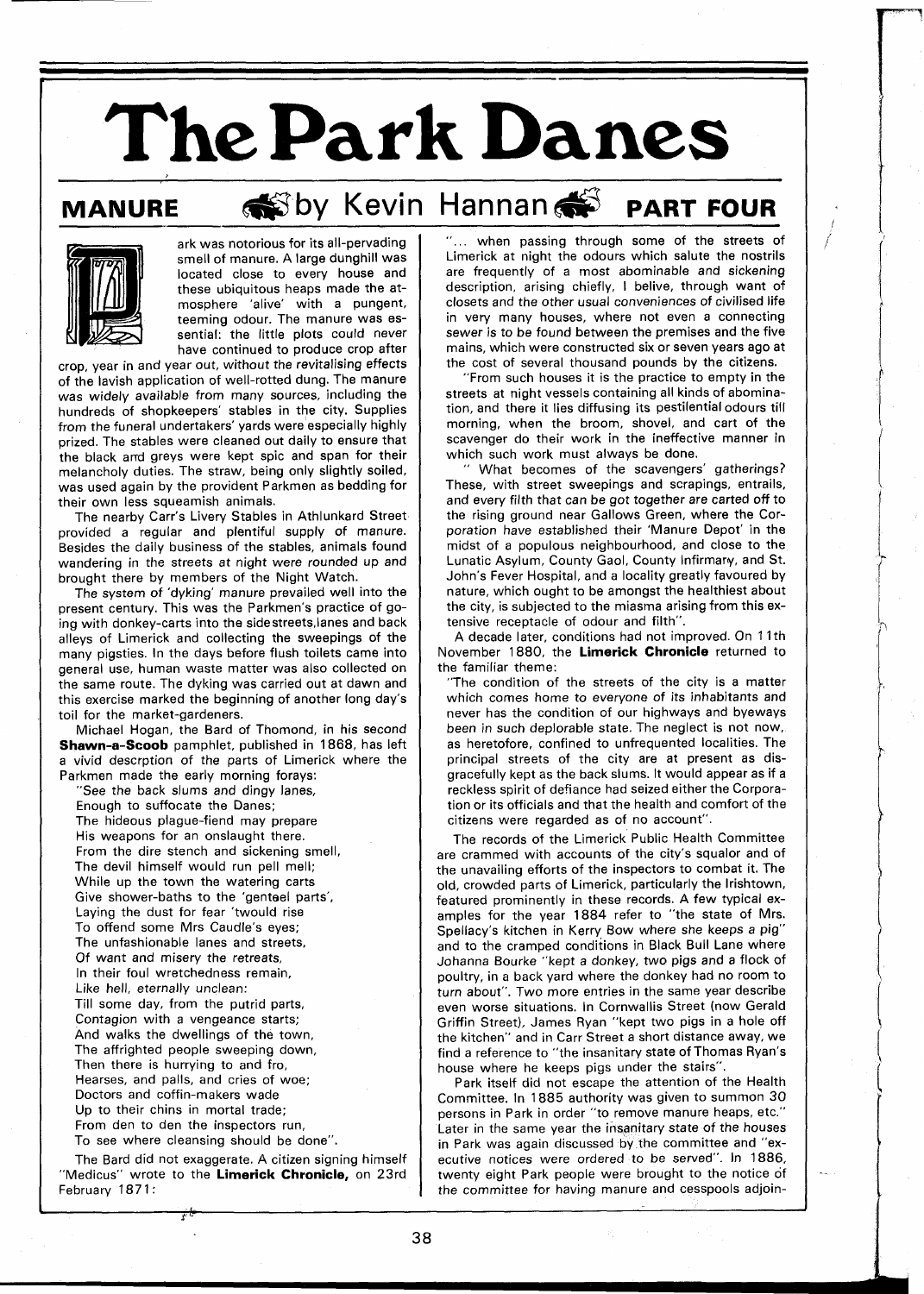**The Park Danes** 

## **MANURE @Dy Kevin Hannan # PART FOUR**



ark was notorious for its all-pervading smell of manure. A large dunghill was located close to every house and these ubiquitous heaps made the atmosphere 'alive' with a pungent, teeming odour. The manure was essential: the little plots could never have continued to produce crop after

crop, year in and year out, without the revitalising effects of the lavish application of well-rotted dung. The manure was widely available from many sources, including the hundreds of shopkeepers' stables in the city. Supplies from the funeral undertakers' yards were especially highly prized. The stables were cleaned out daily to ensure that the black and greys were kept spic and span for their melancholy duties. The straw, being only slightly soiled, was used again by the provident Parkmen as bedding for their own less squeamish animals.

The nearby Carr's Livery Stables in Athlunkard Street provided a regular and plentiful supply of manure. Besides the daily business of the stables, animals found wandering in the streets at night were rounded up and brought there by members of the Night Watch.

The system of 'dyking' manure prevailed well into the present century. This was the Parkmen's practice of going with donkey-carts into the sidestreets,lanes and back alleys of Limerick and collecting the sweepings of the many pigsties. In the days before flush toilets came into general use, human waste matter was also collected on the same route. The dyking was carried out at dawn and this exercise marked the beginning of another long day's toil for the market-gardeners.

Michael Hogan, the Bard of Thomond, in his second **Shawn-a-Scoob** pamphlet, published in 1868, has left a vivid descrption of the parts of Limerick where the Parkmen made the early morning forays:

"See the back slums and dingy lanes,

Enough to suffocate the Danes;

The hideous plague-fiend may prepare His weapons for an onslaught there. From the dire stench and sickening smell, The devil himself would run pell mell; While up the town the watering carts Give shower-baths to the 'genteel parts', Laying the dust for fear 'twould rise To offend some Mrs Caudle's eyes; The unfashionable lanes and streets, Of want and misery the retreats, In their foul wretchedness remain, Like hell, eternally unclean: Till some day, from the putrid parts, Contagion with a vengeance starts; And walks the dwellings of the town, The affrighted people sweeping down, Then there is hurrying to and fro, Hearses, and palls, and cries of woe; Doctors and coffin-makers wade Up to their chins in mortal trade; From den to den the inspectors run,

To see where cleansing should be done".

The Bard did not exaggerate. A citizen signing himself "Medicus" wrote to the **Limerick Chronicle,** on 23rd February 1871:

"... when passing through some of the streets of Limerick at night the odours which salute the nostrils are frequently of a most abominable and sickening description, arising chiefly, I belive, through want of closets and the other usual conveniences of civilised life in very many houses, where not even a connecting sewer is to be found between the premises and the five mains, which were constructed six or seven years ago at the cost of several thousand pounds by the citizens.

"From such houses it is the practice to empty in the streets at night vessels containing all kinds of abomination, and there it lies diffusing its pestilential odours till morning, when the broom, shovel, and cart of the scavenger do their work in the ineffective manner in which such work must always be done.

What becomes of the scavengers' gatherings? These, with street sweepings and scrapings, entrails, and every filth that can be got together are carted off to the rising ground near Gallows Green, where the Corporation have established their 'Manure Depot' in the midst of a populous neighbourhood, and close to the Lunatic Asylum, County Gaol, County Infirmary, and St. John's Fever Hospital, and a locality greatly favoured by nature, which ought to be amongst the healthiest about the city, is subjected to the miasma arising from this extensive receptacle of odour and filth".

A decade later, conditions had not improved. On 11th November 1880, the **Limerick Chronicle** returned to the familiar theme:

"The condition of the streets of the city is a matter which comes home to everyone of its inhabitants and never has the condition of our highways and byeways been in such deplorable state. The neglect is not now, as heretofore, confined to unfrequented localities. The principal streets of the city are at present as disgracefully kept as the back slums. It would appear as if a reckless spirit of defiance had seized either the Corporation or its officials and that the health and comfort of the citizens were regarded as of no account".

The records of the Limerick Public Health Committee are crammed with accounts of the city's squalor and of the unavailing efforts of the inspectors to combat it. The old, crowded parts of Limerick, particularly the Irishtown, featured prominently in these records. A few typical examples for the year 1884 refer to "the state of Mrs. Spellacy's kitchen in Kerry Bow where she keeps a pig" and to the cramped conditions in Black Bull Lane where Johanna Bourke "kept a donkey, two pigs and a flock of poultry, in a back yard where the donkey had no room to turn about". Two more entries in the same year describe even worse situations. In Cornwallis Street (now Gerald Griffin Street), James Ryan "kept two pigs in a hole off the kitchen" and in Carr Street a short distance away, we find a reference to "the insanitary state of Thomas Ryan's house where he keeps pigs under the stairs".

Park itself did not escape the attention of the Health Committee. In 1885 authority was given to summon 30 persons in Park in order "to remove manure heaps, etc." Later in the same year the insanitary state of the houses in Park was again discussed by the committee and "executive notices were ordered to be served". In 1886, twenty eight Park people were brought to the notice of the committee for having manure and cesspools adjoin-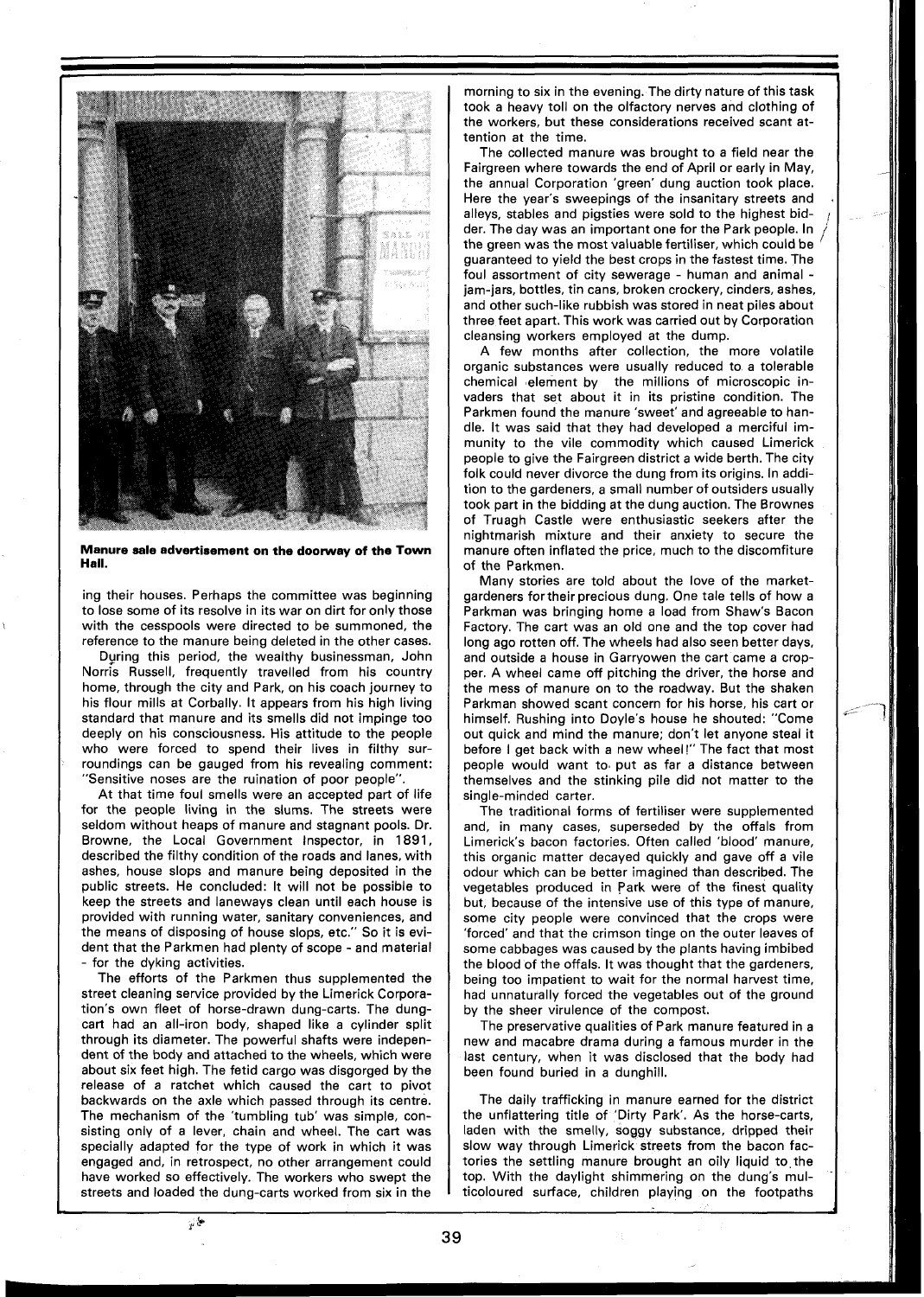

**Manure sale advertisement on the doorway of the Town Hall.** 

ing their houses. Perhaps the committee was beginning to lose some of its resolve in its war on dirt for only those with the cesspools were directed to be summoned, the reference to the manure being deleted in the other cases.

Dyring this period, the wealthy businessman, John Norris Russell, frequently travelled from his country home, through the city and Park, on his coach journey to his flour mills at Corbally. It appears from his high living standard that manure and its smells did not impinge too deeply on his consciousness. His attitude to the people who were forced to spend their lives in filthy surroundings can be gauged from his revealing comment: "Sensitive noses are the ruination of poor people".

At that time foul smells were an accepted part of life for the people living in the slums. The streets were seldom without heaps of manure and stagnant pools. Dr. Browne, the Local Government Inspector, in 1891, described the filthy condition of the roads and lanes, with ashes, house slops and manure being deposited in the public streets. He concluded: It will not be possible to keep the streets and laneways clean until each house is provided with running water, sanitary conveniences, and the means of disposing of house slops, etc." So it is evident that the Parkmen had plenty of scope - and material for the dyking activities.

The efforts of the Parkmen thus supplemented the street cleaning service provided by the Limerick Corporation's own fleet of horse-drawn dung-carts. The dungcart had an all-iron body, shaped like a cylinder split through its diameter. The powerful shafts were independent of the body and attached to the wheels, which were about six feet high. The fetid cargo was disgorged by the release of a ratchet which caused the cart to pivot backwards on the axle which passed through its centre. The mechanism of the 'tumbling tub' was simple, consisting only of a lever, chain and wheel. The cart was specially adapted for the type of work in which it was engaged and, in retrospect, no other arrangement could have worked so effectively. The workers who swept the streets and loaded the dung-carts worked from six in the

 $\varphi$ 

morning to six in the evening. The dirty nature of this task took a heavy toll on the olfactory nerves and clothing of the workers, but these considerations received scant attention at the time.

The collected manure was brought to a field near the Fairgreen where towards the end of April or early in May, the annual Corporation 'green' dung auction took place. Here the year's sweepings of the insanitary streets and alleys, stables and pigsties were sold to the highest bid- **<sup>1</sup>** der. The day was an important one for the Park people. In the green was the most valuable fertiliser, which could be guaranteed to yield the best crops in the fastest time. The foul assortment of city sewerage - human and animal - jam-jars, bottles, tin cans, broken crockery, cinders, ashes, and other such-like rubbish was stored in neat piles about three feet apart. This work was carried out by Corporation cleansing workers employed at the dump.

A few months after collection, the more volatile organic substances were usually reduced to a tolerable chemical element by the millions of microscopic invaders that set about it in its pristine condition. The Parkmen found the manure 'sweet' and agreeable to handle. It was said that they had developed a merciful immunity to the vile commodity which caused Limerick people to give the Fairgreen district a wide berth. The city folk could never divorce the dung from its origins. In addition to the gardeners, a small number of outsiders usually took part in the bidding at the dung auction. The Brownes of Truagh Castle were enthusiastic seekers after the nightmarish mixture and their anxiety to secure the manure often inflated the price, much to the discomfiture of the Parkmen.

Many stories are told about the love of the marketgardeners fortheir precious dung. One tale tells of how a Parkman was bringing home a load from Shaw's Bacon Factory. The cart was an old one and the top cover had long ago rotten off. The wheels had also seen better days, and outside a house in Garryowen the cart came a cropper. A wheel came off pitching the driver, the horse and the mess of manure on to the roadway. But the shaken Parkman showed scant concern for his horse, his cart or himself. Rushing into Doyle's house he shouted: "Come out quick and mind the manure; don't let anyone steal it before I get back with a new wheel!" The fact that most people would want to, put as far a distance between themselves and the stinking pile did not matter to the single-minded carter.

The traditional forms of fertiliser were supplemented and, in many cases, superseded by the offals from Limerick's bacon factories. Often called 'blood' manure, this organic matter decayed quickly and gave off a vile odour which can be better imagined than described. The vegetables produced in Park were of the finest quality but, because of the intensive use of this type of manure, some city people were convinced that the crops were 'forced' and that the crimson tinge on the outer leaves of some cabbages was caused by the plants having imbibed the blood of the offals. It was thought that the gardeners, being too impatient to wait for the normal harvest time, had unnaturally forced the vegetables out of the ground by the sheer virulence of the compost.

The preservative qualities of Park manure featured in a new and macabre drama during a famous murder in the last century, when it was disclosed that the body had been found buried in a dunghill.

The daily trafficking in manure earned for the district the unflattering title of 'Dirty Park'. As the horse-carts, laden with the smelly, soggy substance, dripped their slow way through Limerick streets from the bacon factories the settling manure brought an oily liquid to the top. With the daylight shimmering on the dung's multicoloured surface, children playing on the footpaths